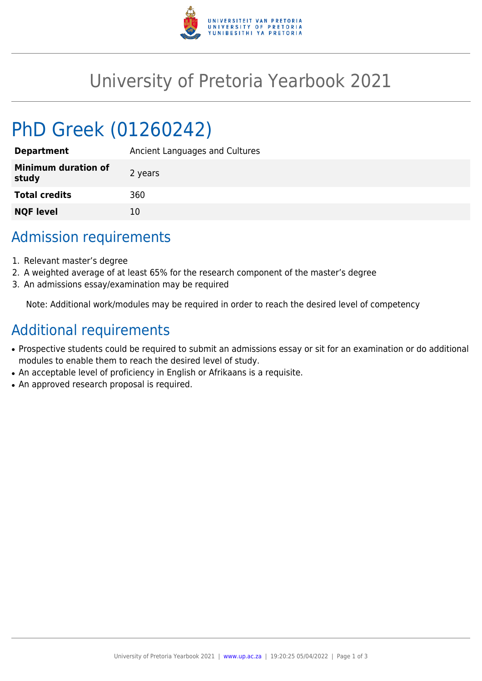

# University of Pretoria Yearbook 2021

# PhD Greek (01260242)

| <b>Department</b>                   | Ancient Languages and Cultures |
|-------------------------------------|--------------------------------|
| <b>Minimum duration of</b><br>study | 2 years                        |
| <b>Total credits</b>                | 360                            |
| <b>NQF level</b>                    | 10                             |

## Admission requirements

- 1. Relevant master's degree
- 2. A weighted average of at least 65% for the research component of the master's degree
- 3. An admissions essay/examination may be required

Note: Additional work/modules may be required in order to reach the desired level of competency

## Additional requirements

- Prospective students could be required to submit an admissions essay or sit for an examination or do additional modules to enable them to reach the desired level of study.
- An acceptable level of proficiency in English or Afrikaans is a requisite.
- An approved research proposal is required.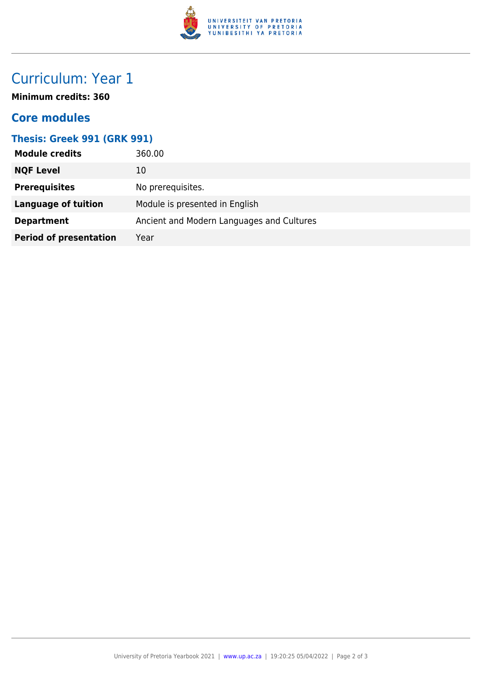

# Curriculum: Year 1

**Minimum credits: 360**

### **Core modules**

#### **Thesis: Greek 991 (GRK 991)**

| <b>Module credits</b>         | 360.00                                    |
|-------------------------------|-------------------------------------------|
| <b>NQF Level</b>              | 10                                        |
| <b>Prerequisites</b>          | No prerequisites.                         |
| <b>Language of tuition</b>    | Module is presented in English            |
| <b>Department</b>             | Ancient and Modern Languages and Cultures |
| <b>Period of presentation</b> | Year                                      |